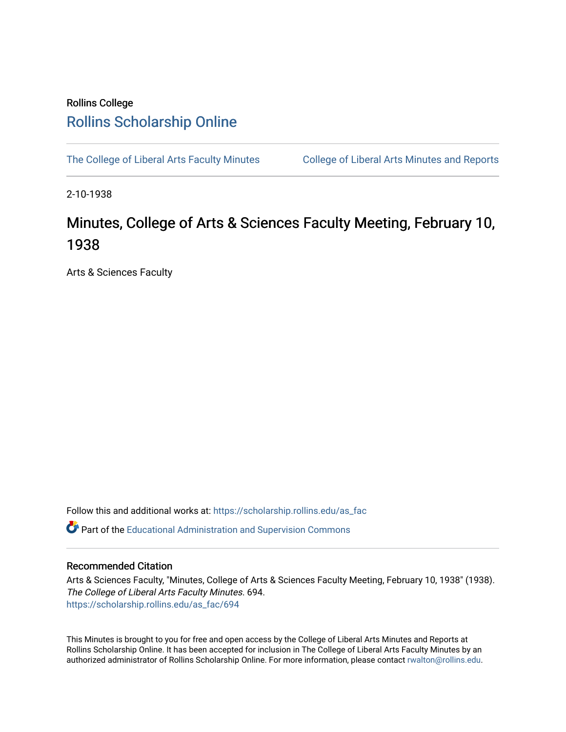## Rollins College [Rollins Scholarship Online](https://scholarship.rollins.edu/)

[The College of Liberal Arts Faculty Minutes](https://scholarship.rollins.edu/as_fac) College of Liberal Arts Minutes and Reports

2-10-1938

## Minutes, College of Arts & Sciences Faculty Meeting, February 10, 1938

Arts & Sciences Faculty

Follow this and additional works at: [https://scholarship.rollins.edu/as\\_fac](https://scholarship.rollins.edu/as_fac?utm_source=scholarship.rollins.edu%2Fas_fac%2F694&utm_medium=PDF&utm_campaign=PDFCoverPages) 

**P** Part of the [Educational Administration and Supervision Commons](http://network.bepress.com/hgg/discipline/787?utm_source=scholarship.rollins.edu%2Fas_fac%2F694&utm_medium=PDF&utm_campaign=PDFCoverPages)

## Recommended Citation

Arts & Sciences Faculty, "Minutes, College of Arts & Sciences Faculty Meeting, February 10, 1938" (1938). The College of Liberal Arts Faculty Minutes. 694. [https://scholarship.rollins.edu/as\\_fac/694](https://scholarship.rollins.edu/as_fac/694?utm_source=scholarship.rollins.edu%2Fas_fac%2F694&utm_medium=PDF&utm_campaign=PDFCoverPages) 

This Minutes is brought to you for free and open access by the College of Liberal Arts Minutes and Reports at Rollins Scholarship Online. It has been accepted for inclusion in The College of Liberal Arts Faculty Minutes by an authorized administrator of Rollins Scholarship Online. For more information, please contact [rwalton@rollins.edu](mailto:rwalton@rollins.edu).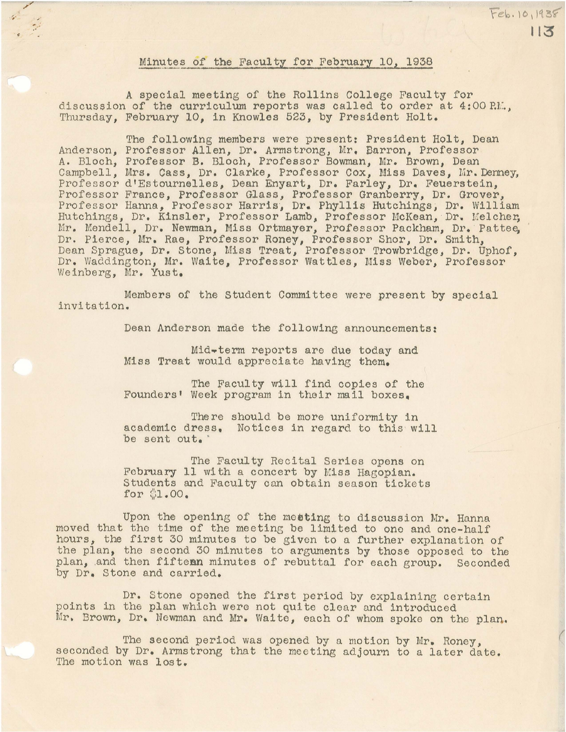## Minutes of the Faculty for February 10, 1938

 $Feb.10,1938$ 

113

*,\_.:* ..

A special meeting of the Rollins College Faculty for discussion of the curriculum reports was called to order at 4:00 P.M., Thursday, February 10, in Knowles 523, by President Holt.

The following members were present: President Holt, Dean Anderson, Professor Allen, Dr. Armstrong, Mr. Barron, Professor A. Bloch, Professor B. Bloch, Professor Bowman, Mr. Brown, Dean Campbell, Mrs. Cass, Dr. Clarke, Professor Cox, Miss Daves, Mr. Denney, Professor d'Estournelles, Dean Enyart, Dr. Farley, Dr. Feuerstein, Professor France, Professor Glass, Professor Granberry, Dr. Grover, Professor Hanna, Professor Harris, Dr. Phyllis Hutchings; Dr. William Hutchings, Dr. Kinsler, Professor Lamb, Professor McKean, Dr. Melcher, Mr. Mendell, Dr. Newman, Miss Ortmayer, Professor Packham, Dr. Pattee, Dr. Pierce, Mr. Rae, Professor Roney, Professor Shor, Dr. Smith, Dean Sprague, Dr. Stone, Miss Treat, Professor Trowbridge, Dr. Uphof, Dr. Waddington, Mr. Waite, Professor Wattles, Miss Weber, Professor Weinberg, Mr. Yust.

Members of the Student Committee were present by special invitation.

Dean Anderson made the following announcements:

Mid-term reports are due today and Miss Treat would appreciate having them.

The Faculty will find copies of the Founders' Week program in their mail boxes.

There should be more uniformity in academic dress. Notices in regard to this will be sent out.

The Faculty Recital Series opens on February 11 with a concert by Miss Hagopian. Students and Faculty can obtain season tickets for \$1.00.

Upon the opening of the metting to discussion Mr. Hanna moved that the time of the meeting be limited to one and one-half hours, the first 30 minutes to be given to a further explanation of the plan, the second 30 minutes to arguments by those opposed to the plan, and then fifteen minutes of rebuttal for each group. Seconded by Dr. Stone and carried.

Dr. Stone opened the first period by explaining certain points in the plan which were not quite clear and introduced Mr. Brown, Dr. Newman and Mr. Waite, each of whom spoke on the plan.

The second period was opened by a motion by Mr. Roney, seconded by Dr. Armstrong that the meeting adjourn to a later date. The motion was lost.